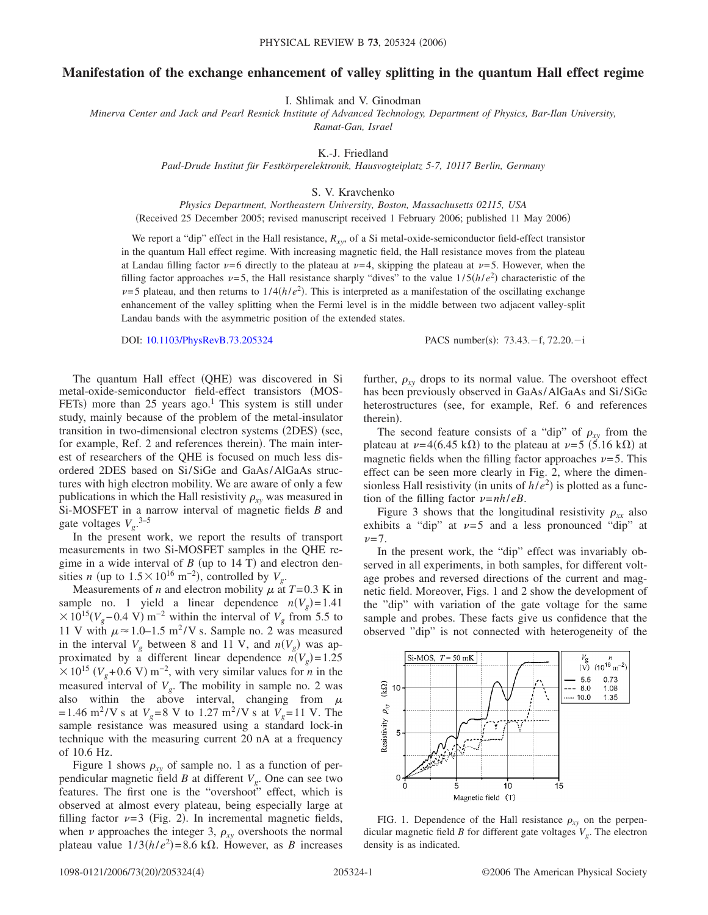## **Manifestation of the exchange enhancement of valley splitting in the quantum Hall effect regime**

I. Shlimak and V. Ginodman

*Minerva Center and Jack and Pearl Resnick Institute of Advanced Technology, Department of Physics, Bar-Ilan University, Ramat-Gan, Israel*

K.-J. Friedland

*Paul-Drude Institut für Festkörperelektronik, Hausvogteiplatz 5-7, 10117 Berlin, Germany*

S. V. Kravchenko

*Physics Department, Northeastern University, Boston, Massachusetts 02115, USA*

(Received 25 December 2005; revised manuscript received 1 February 2006; published 11 May 2006)

We report a "dip" effect in the Hall resistance,  $R_{xy}$ , of a Si metal-oxide-semiconductor field-effect transistor in the quantum Hall effect regime. With increasing magnetic field, the Hall resistance moves from the plateau at Landau filling factor  $\nu=6$  directly to the plateau at  $\nu=4$ , skipping the plateau at  $\nu=5$ . However, when the filling factor approaches  $\nu = 5$ , the Hall resistance sharply "dives" to the value  $1/5(h/e^2)$  characteristic of the  $\nu$ =5 plateau, and then returns to  $1/4(h/e^2)$ . This is interpreted as a manifestation of the oscillating exchange enhancement of the valley splitting when the Fermi level is in the middle between two adjacent valley-split Landau bands with the asymmetric position of the extended states.

DOI: [10.1103/PhysRevB.73.205324](http://dx.doi.org/10.1103/PhysRevB.73.205324)

:  $73.43 - f$ ,  $72.20 - i$ 

The quantum Hall effect (QHE) was discovered in Si metal-oxide-semiconductor field-effect transistors (MOS-FETs) more than 25 years ago.<sup>1</sup> This system is still under study, mainly because of the problem of the metal-insulator transition in two-dimensional electron systems (2DES) (see, for example, Ref. 2 and references therein). The main interest of researchers of the QHE is focused on much less disordered 2DES based on Si/SiGe and GaAs/AlGaAs structures with high electron mobility. We are aware of only a few publications in which the Hall resistivity  $\rho_{xy}$  was measured in Si-MOSFET in a narrow interval of magnetic fields *B* and gate voltages *Vg*. 3–5

In the present work, we report the results of transport measurements in two Si-MOSFET samples in the QHE regime in a wide interval of  $B$  (up to 14 T) and electron densities *n* (up to  $1.5 \times 10^{16}$  m<sup>-2</sup>), controlled by  $V_g$ .

Measurements of *n* and electron mobility  $\mu$  at  $T=0.3$  K in sample no. 1 yield a linear dependence  $n(V_g) = 1.41$  $\times 10^{15} (V_g - 0.4 \text{ V}) \text{ m}^{-2}$  within the interval of  $V_g$  from 5.5 to 11 V with  $\mu \approx 1.0 - 1.5$  m<sup>2</sup>/V s. Sample no. 2 was measured in the interval  $V_g$  between 8 and 11 V, and  $n(V_g)$  was approximated by a different linear dependence  $n(V_g) = 1.25$  $\times$  10<sup>15</sup> ( $V_g$ +0.6 V) m<sup>-2</sup>, with very similar values for *n* in the measured interval of  $V_g$ . The mobility in sample no. 2 was also within the above interval, changing from  $\mu$  $=1.46$  m<sup>2</sup>/V s at  $V<sub>g</sub>=8$  V to 1.27 m<sup>2</sup>/V s at  $V<sub>g</sub>=11$  V. The sample resistance was measured using a standard lock-in technique with the measuring current 20 nA at a frequency of 10.6 Hz.

Figure 1 shows  $\rho_{xy}$  of sample no. 1 as a function of perpendicular magnetic field *B* at different  $V_g$ . One can see two features. The first one is the "overshoot" effect, which is observed at almost every plateau, being especially large at filling factor  $\nu=3$  (Fig. 2). In incremental magnetic fields, when  $\nu$  approaches the integer 3,  $\rho_{xy}$  overshoots the normal plateau value  $1/3(h/e^2) = 8.6$  k $\Omega$ . However, as *B* increases

further,  $\rho_{xy}$  drops to its normal value. The overshoot effect has been previously observed in GaAs/AlGaAs and Si/SiGe heterostructures (see, for example, Ref. 6 and references therein).

The second feature consists of a "dip" of  $\rho_{xy}$  from the plateau at  $\nu = 4(6.45 \text{ k}\Omega)$  to the plateau at  $\nu = 5(5.16 \text{ k}\Omega)$  at magnetic fields when the filling factor approaches  $\nu = 5$ . This effect can be seen more clearly in Fig. 2, where the dimensionless Hall resistivity (in units of  $h/e<sup>2</sup>$ ) is plotted as a function of the filling factor  $\nu = nh/eB$ .

Figure 3 shows that the longitudinal resistivity  $\rho_{xx}$  also exhibits a "dip" at  $\nu=5$  and a less pronounced "dip" at  $\nu = 7.$ 

In the present work, the "dip" effect was invariably observed in all experiments, in both samples, for different voltage probes and reversed directions of the current and magnetic field. Moreover, Figs. 1 and 2 show the development of the "dip" with variation of the gate voltage for the same sample and probes. These facts give us confidence that the observed "dip" is not connected with heterogeneity of the



FIG. 1. Dependence of the Hall resistance  $\rho_{xy}$  on the perpendicular magnetic field *B* for different gate voltages  $V_g$ . The electron density is as indicated.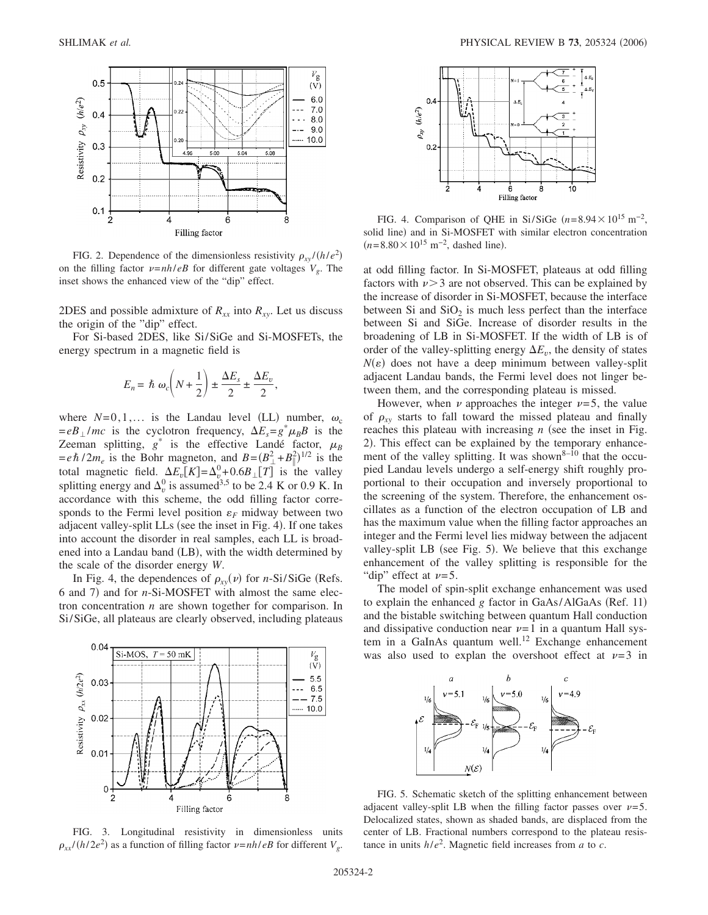

FIG. 2. Dependence of the dimensionless resistivity  $\rho_{xy}/(h/e^2)$ on the filling factor  $v = nh/eB$  for different gate voltages  $V_g$ . The inset shows the enhanced view of the "dip" effect.

2DES and possible admixture of  $R_{xx}$  into  $R_{xy}$ . Let us discuss the origin of the "dip" effect.

For Si-based 2DES, like Si/SiGe and Si-MOSFETs, the energy spectrum in a magnetic field is

$$
E_n = \hbar \omega_c \left( N + \frac{1}{2} \right) \pm \frac{\Delta E_s}{2} \pm \frac{\Delta E_v}{2},
$$

where  $N=0,1,...$  is the Landau level (LL) number,  $\omega_c$  $= eB_{\perp}/mc$  is the cyclotron frequency,  $\Delta E_s = g^* \mu_B B$  is the Zeeman splitting,  $g^*$  is the effective Landé factor,  $\mu_B$  $= e\hbar/2m_e$  is the Bohr magneton, and  $B = (B_\perp^2 + B_\parallel^2)^{1/2}$  is the total magnetic field.  $\Delta E_v[K] = \Delta_v^0 + 0.6B \Gamma[T]$  is the valley splitting energy and  $\Delta_v^0$  is assumed<sup>3,5</sup> to be 2.4 K or 0.9 K. In accordance with this scheme, the odd filling factor corresponds to the Fermi level position  $\varepsilon_F$  midway between two adjacent valley-split LLs (see the inset in Fig. 4). If one takes into account the disorder in real samples, each LL is broadened into a Landau band (LB), with the width determined by the scale of the disorder energy *W*.

In Fig. 4, the dependences of  $\rho_{xy}(v)$  for *n*-Si/SiGe (Refs. 6 and 7) and for *n*-Si-MOSFET with almost the same electron concentration *n* are shown together for comparison. In Si/SiGe, all plateaus are clearly observed, including plateaus



FIG. 3. Longitudinal resistivity in dimensionless units  $\rho_{xx}/(h/2e^2)$  as a function of filling factor  $\nu = nh/eB$  for different  $V_g$ .



FIG. 4. Comparison of QHE in Si/SiGe  $(n=8.94\times10^{15} \text{ m}^{-2})$ , solid line) and in Si-MOSFET with similar electron concentration  $(n=8.80\times10^{15} \text{ m}^{-2}$ , dashed line).

at odd filling factor. In Si-MOSFET, plateaus at odd filling factors with  $\nu > 3$  are not observed. This can be explained by the increase of disorder in Si-MOSFET, because the interface between Si and  $SiO<sub>2</sub>$  is much less perfect than the interface between Si and SiGe. Increase of disorder results in the broadening of LB in Si-MOSFET. If the width of LB is of order of the valley-splitting energy  $\Delta E_v$ , the density of states  $N(\varepsilon)$  does not have a deep minimum between valley-split adjacent Landau bands, the Fermi level does not linger between them, and the corresponding plateau is missed.

However, when  $\nu$  approaches the integer  $\nu=5$ , the value of  $\rho_{xy}$  starts to fall toward the missed plateau and finally reaches this plateau with increasing  $n$  (see the inset in Fig. 2). This effect can be explained by the temporary enhancement of the valley splitting. It was shown $8-\overline{10}$  that the occupied Landau levels undergo a self-energy shift roughly proportional to their occupation and inversely proportional to the screening of the system. Therefore, the enhancement oscillates as a function of the electron occupation of LB and has the maximum value when the filling factor approaches an integer and the Fermi level lies midway between the adjacent valley-split LB (see Fig. 5). We believe that this exchange enhancement of the valley splitting is responsible for the "dip" effect at  $\nu=5$ .

The model of spin-split exchange enhancement was used to explain the enhanced *g* factor in GaAs/AlGaAs (Ref. 11) and the bistable switching between quantum Hall conduction and dissipative conduction near  $\nu=1$  in a quantum Hall system in a GaInAs quantum well.<sup>12</sup> Exchange enhancement was also used to explan the overshoot effect at  $\nu=3$  in



FIG. 5. Schematic sketch of the splitting enhancement between adjacent valley-split LB when the filling factor passes over  $\nu=5$ . Delocalized states, shown as shaded bands, are displaced from the center of LB. Fractional numbers correspond to the plateau resistance in units  $h/e^2$ . Magnetic field increases from *a* to *c*.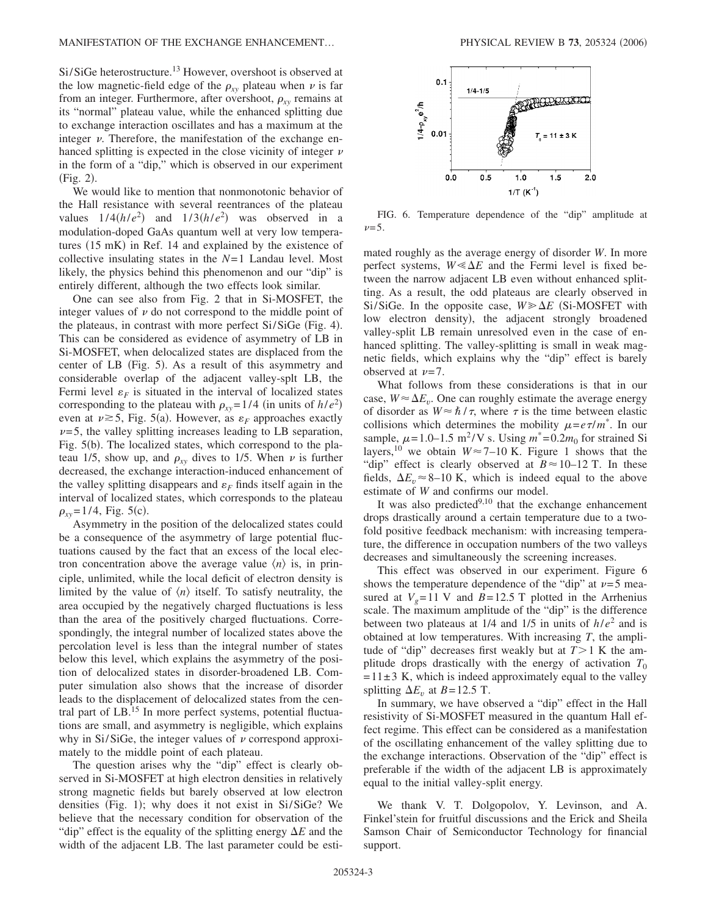Si/SiGe heterostructure.<sup>13</sup> However, overshoot is observed at the low magnetic-field edge of the  $\rho_{xy}$  plateau when  $\nu$  is far from an integer. Furthermore, after overshoot,  $\rho_{xy}$  remains at its "normal" plateau value, while the enhanced splitting due to exchange interaction oscillates and has a maximum at the integer  $\nu$ . Therefore, the manifestation of the exchange enhanced splitting is expected in the close vicinity of integer  $\nu$ in the form of a "dip," which is observed in our experiment  $(Fig. 2)$ .

We would like to mention that nonmonotonic behavior of the Hall resistance with several reentrances of the plateau values  $1/4(h/e^2)$  and  $1/3(h/e^2)$  was observed in a modulation-doped GaAs quantum well at very low temperatures (15 mK) in Ref. 14 and explained by the existence of collective insulating states in the *N*=1 Landau level. Most likely, the physics behind this phenomenon and our "dip" is entirely different, although the two effects look similar.

One can see also from Fig. 2 that in Si-MOSFET, the integer values of  $\nu$  do not correspond to the middle point of the plateaus, in contrast with more perfect Si/SiGe (Fig. 4). This can be considered as evidence of asymmetry of LB in Si-MOSFET, when delocalized states are displaced from the center of LB (Fig. 5). As a result of this asymmetry and considerable overlap of the adjacent valley-splt LB, the Fermi level  $\varepsilon_F$  is situated in the interval of localized states corresponding to the plateau with  $\rho_{xy} = 1/4$  (in units of  $h/e^2$ ) even at  $\nu \ge 5$ , Fig. 5(a). However, as  $\varepsilon_F$  approaches exactly  $\nu=5$ , the valley splitting increases leading to LB separation, Fig. 5(b). The localized states, which correspond to the plateau 1/5, show up, and  $\rho_{xy}$  dives to 1/5. When  $\nu$  is further decreased, the exchange interaction-induced enhancement of the valley splitting disappears and  $\varepsilon_F$  finds itself again in the interval of localized states, which corresponds to the plateau  $\rho_{xy}$ =1/4, Fig. 5(c).

Asymmetry in the position of the delocalized states could be a consequence of the asymmetry of large potential fluctuations caused by the fact that an excess of the local electron concentration above the average value  $\langle n \rangle$  is, in principle, unlimited, while the local deficit of electron density is limited by the value of  $\langle n \rangle$  itself. To satisfy neutrality, the area occupied by the negatively charged fluctuations is less than the area of the positively charged fluctuations. Correspondingly, the integral number of localized states above the percolation level is less than the integral number of states below this level, which explains the asymmetry of the position of delocalized states in disorder-broadened LB. Computer simulation also shows that the increase of disorder leads to the displacement of delocalized states from the central part of LB.<sup>15</sup> In more perfect systems, potential fluctuations are small, and asymmetry is negligible, which explains why in Si/SiGe, the integer values of  $\nu$  correspond approximately to the middle point of each plateau.

The question arises why the "dip" effect is clearly observed in Si-MOSFET at high electron densities in relatively strong magnetic fields but barely observed at low electron densities (Fig. 1); why does it not exist in Si/SiGe? We believe that the necessary condition for observation of the "dip" effect is the equality of the splitting energy  $\Delta E$  and the width of the adjacent LB. The last parameter could be esti-



FIG. 6. Temperature dependence of the "dip" amplitude at  $\nu = 5$ .

mated roughly as the average energy of disorder *W*. In more perfect systems,  $W \le \Delta E$  and the Fermi level is fixed between the narrow adjacent LB even without enhanced splitting. As a result, the odd plateaus are clearly observed in Si/SiGe. In the opposite case,  $W \ge \Delta E$  (Si-MOSFET with low electron density), the adjacent strongly broadened valley-split LB remain unresolved even in the case of enhanced splitting. The valley-splitting is small in weak magnetic fields, which explains why the "dip" effect is barely observed at  $\nu = 7$ .

What follows from these considerations is that in our case,  $W \approx \Delta E_v$ . One can roughly estimate the average energy of disorder as  $W \approx \hbar / \tau$ , where  $\tau$  is the time between elastic collisions which determines the mobility  $\mu = e\tau/m^*$ . In our sample,  $\mu$ =1.0–1.5 m<sup>2</sup>/V s. Using  $m^*$ =0.2m<sub>0</sub> for strained Si layers,<sup>10</sup> we obtain  $W \approx 7{\text -}10$  K. Figure 1 shows that the "dip" effect is clearly observed at  $B \approx 10-12$  T. In these fields,  $\Delta E_n \approx 8{\text -}10$  K, which is indeed equal to the above estimate of *W* and confirms our model.

It was also predicted $9,10$  that the exchange enhancement drops drastically around a certain temperature due to a twofold positive feedback mechanism: with increasing temperature, the difference in occupation numbers of the two valleys decreases and simultaneously the screening increases.

This effect was observed in our experiment. Figure 6 shows the temperature dependence of the "dip" at  $\nu=5$  measured at  $V<sub>g</sub>=11$  V and  $B=12.5$  T plotted in the Arrhenius scale. The maximum amplitude of the "dip" is the difference between two plateaus at 1/4 and 1/5 in units of *h*/*e*<sup>2</sup> and is obtained at low temperatures. With increasing *T*, the amplitude of "dip" decreases first weakly but at  $T>1$  K the amplitude drops drastically with the energy of activation  $T_0$  $=11\pm3$  K, which is indeed approximately equal to the valley splitting  $\Delta E_v$  at *B*=12.5 T.

In summary, we have observed a "dip" effect in the Hall resistivity of Si-MOSFET measured in the quantum Hall effect regime. This effect can be considered as a manifestation of the oscillating enhancement of the valley splitting due to the exchange interactions. Observation of the "dip" effect is preferable if the width of the adjacent LB is approximately equal to the initial valley-split energy.

We thank V. T. Dolgopolov, Y. Levinson, and A. Finkel'stein for fruitful discussions and the Erick and Sheila Samson Chair of Semiconductor Technology for financial support.